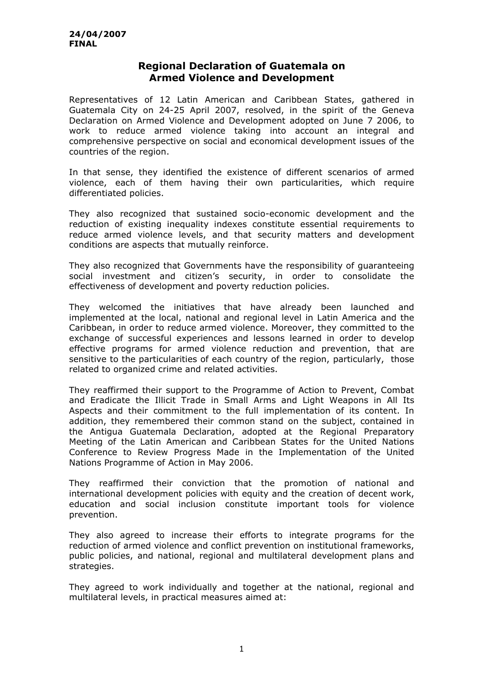## **Regional Declaration of Guatemala on Armed Violence and Development**

Representatives of 12 Latin American and Caribbean States, gathered in Guatemala City on 24-25 April 2007, resolved, in the spirit of the Geneva Declaration on Armed Violence and Development adopted on June 7 2006, to work to reduce armed violence taking into account an integral and comprehensive perspective on social and economical development issues of the countries of the region.

In that sense, they identified the existence of different scenarios of armed violence, each of them having their own particularities, which require differentiated policies.

They also recognized that sustained socio-economic development and the reduction of existing inequality indexes constitute essential requirements to reduce armed violence levels, and that security matters and development conditions are aspects that mutually reinforce.

They also recognized that Governments have the responsibility of guaranteeing social investment and citizen's security, in order to consolidate the effectiveness of development and poverty reduction policies.

They welcomed the initiatives that have already been launched and implemented at the local, national and regional level in Latin America and the Caribbean, in order to reduce armed violence. Moreover, they committed to the exchange of successful experiences and lessons learned in order to develop effective programs for armed violence reduction and prevention, that are sensitive to the particularities of each country of the region, particularly, those related to organized crime and related activities.

They reaffirmed their support to the Programme of Action to Prevent, Combat and Eradicate the Illicit Trade in Small Arms and Light Weapons in All Its Aspects and their commitment to the full implementation of its content. In addition, they remembered their common stand on the subject, contained in the Antigua Guatemala Declaration, adopted at the Regional Preparatory Meeting of the Latin American and Caribbean States for the United Nations Conference to Review Progress Made in the Implementation of the United Nations Programme of Action in May 2006.

They reaffirmed their conviction that the promotion of national and international development policies with equity and the creation of decent work, education and social inclusion constitute important tools for violence prevention.

They also agreed to increase their efforts to integrate programs for the reduction of armed violence and conflict prevention on institutional frameworks, public policies, and national, regional and multilateral development plans and strategies.

They agreed to work individually and together at the national, regional and multilateral levels, in practical measures aimed at: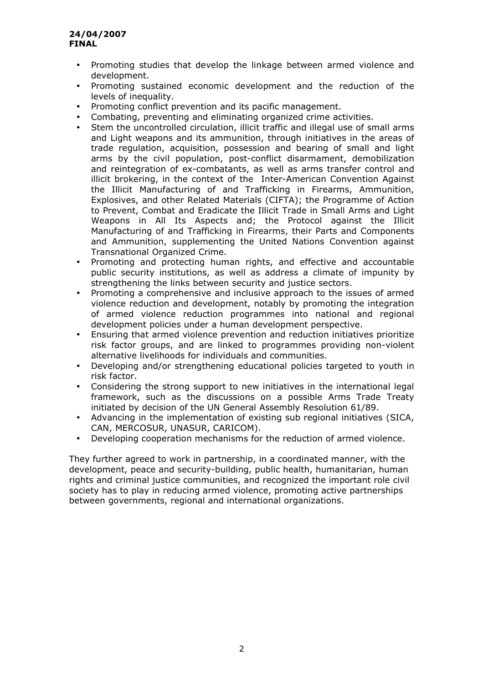## **24/04/2007 FINAL**

- Promoting studies that develop the linkage between armed violence and development.
- Promoting sustained economic development and the reduction of the levels of inequality.
- Promoting conflict prevention and its pacific management.
- Combating, preventing and eliminating organized crime activities.
- Stem the uncontrolled circulation, illicit traffic and illegal use of small arms and Light weapons and its ammunition, through initiatives in the areas of trade regulation, acquisition, possession and bearing of small and light arms by the civil population, post-conflict disarmament, demobilization and reintegration of ex-combatants, as well as arms transfer control and illicit brokering, in the context of the Inter-American Convention Against the Illicit Manufacturing of and Trafficking in Firearms, Ammunition, Explosives, and other Related Materials (CIFTA); the Programme of Action to Prevent, Combat and Eradicate the Illicit Trade in Small Arms and Light Weapons in All Its Aspects and; the Protocol against the Illicit Manufacturing of and Trafficking in Firearms, their Parts and Components and Ammunition, supplementing the United Nations Convention against Transnational Organized Crime.
- Promoting and protecting human rights, and effective and accountable public security institutions, as well as address a climate of impunity by strengthening the links between security and justice sectors.
- Promoting a comprehensive and inclusive approach to the issues of armed violence reduction and development, notably by promoting the integration of armed violence reduction programmes into national and regional development policies under a human development perspective.
- Ensuring that armed violence prevention and reduction initiatives prioritize risk factor groups, and are linked to programmes providing non-violent alternative livelihoods for individuals and communities.
- Developing and/or strengthening educational policies targeted to youth in risk factor.
- Considering the strong support to new initiatives in the international legal framework, such as the discussions on a possible Arms Trade Treaty initiated by decision of the UN General Assembly Resolution 61/89.
- Advancing in the implementation of existing sub regional initiatives (SICA, CAN, MERCOSUR, UNASUR, CARICOM).
- Developing cooperation mechanisms for the reduction of armed violence.

They further agreed to work in partnership, in a coordinated manner, with the development, peace and security-building, public health, humanitarian, human rights and criminal justice communities, and recognized the important role civil society has to play in reducing armed violence, promoting active partnerships between governments, regional and international organizations.